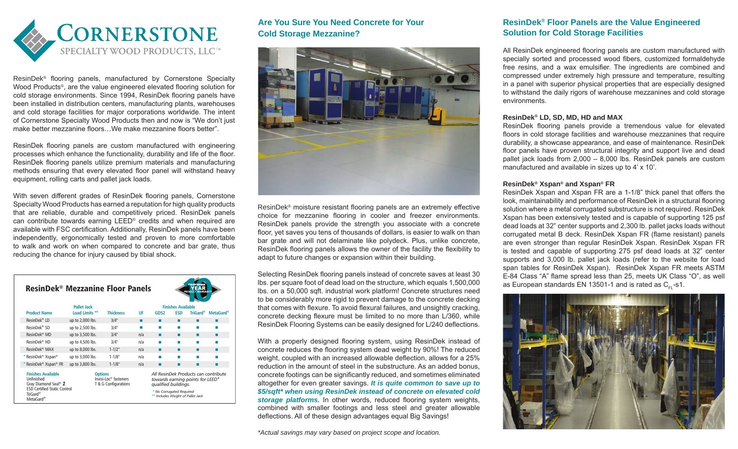

ResinDek® flooring panels, manufactured by Cornerstone Specialty Wood Products®, are the value engineered elevated flooring solution for cold storage environments. Since 1994, ResinDek flooring panels have been installed in distribution centers, manufacturing plants, warehouses and cold storage facilities for major corporations worldwide. The intent of Cornerstone Specialty Wood Products then and now is "We don't just make better mezzanine floors…We make mezzanine floors better".

ResinDek flooring panels are custom manufactured with engineering processes which enhance the functionality, durability and life of the floor. ResinDek flooring panels utilize premium materials and manufacturing methods ensuring that every elevated floor panel will withstand heavy equipment, rolling carts and pallet jack loads.

With seven different grades of ResinDek flooring panels, Cornerstone Specialty Wood Products has earned a reputation for high quality products that are reliable, durable and competitively priced. ResinDek panels can contribute towards earning LEED® credits and when required are available with FSC certification. Additionally, ResinDek panels have been independently, ergonomically tested and proven to more comfortable to walk and work on when compared to concrete and bar grate, thus reducing the chance for injury caused by tibial shock.

| <b>ResinDek<sup>®</sup> Mezzanine Floor Panels</b><br><b>PRODUCT WARRANTY</b>                                                                                       |                                                                             |                           |     |                                                                                                                                                                               |            |                 |                       |
|---------------------------------------------------------------------------------------------------------------------------------------------------------------------|-----------------------------------------------------------------------------|---------------------------|-----|-------------------------------------------------------------------------------------------------------------------------------------------------------------------------------|------------|-----------------|-----------------------|
|                                                                                                                                                                     | <b>Pallet Jack</b>                                                          | <b>Finishes Available</b> |     |                                                                                                                                                                               |            |                 |                       |
| <b>Product Name</b>                                                                                                                                                 | Load Limits <sup>**</sup>                                                   | <b>Thickness</b>          | UF  | GDS2                                                                                                                                                                          | <b>FSD</b> | <b>TriGard®</b> | MetaGard <sup>®</sup> |
| ResinDek <sup>®</sup> LD                                                                                                                                            | up to 2,000 lbs.                                                            | 3/4"                      | ▬   | ■                                                                                                                                                                             | ▬          | п               |                       |
| ResinDek <sup>®</sup> SD                                                                                                                                            | up to 2,500 lbs.                                                            | 3/4"                      | п   | ш                                                                                                                                                                             |            | <b>COL</b>      |                       |
| ResinDek <sup>®</sup> MD                                                                                                                                            | up to 3,500 lbs.                                                            | 3/4"                      | n/a | ٠                                                                                                                                                                             | ٠          | ٠               |                       |
| ResinDek <sup>®</sup> HD                                                                                                                                            | up to 4,500 lbs.                                                            | 3/4"                      | n/a | ш                                                                                                                                                                             | ш          | <b>COL</b>      | m                     |
| ResinDek <sup>®</sup> MAX                                                                                                                                           | up to 8,000 lbs.                                                            | $1 - 1/2$ "               | n/a | ▬                                                                                                                                                                             | ▬          | п               |                       |
| * ResinDek <sup>®</sup> Xspan <sup>®</sup>                                                                                                                          | up to 3,000 lbs.                                                            | $1 - 1/8"$                | n/a |                                                                                                                                                                               |            | <b>COL</b>      |                       |
| * ResinDek <sup>®</sup> Xspan <sup>®</sup> FR                                                                                                                       | up to 3,800 lbs.                                                            | $1 - 1/8"$                | n/a |                                                                                                                                                                               |            | ▬               |                       |
| <b>Finishes Available</b><br>Unfinished<br>Gray Diamond Seal <sup>®</sup> 2<br><b>ESD Certified Static Control</b><br>TriGard <sup>®</sup><br>MetaGard <sup>®</sup> | <b>Options</b><br>Invisi-Loc <sup>®</sup> fasteners<br>T & G Configurations |                           |     | All ResinDek Products can contribute<br>towards earning points for LEED <sup>®</sup><br>qualified buildings.<br>* No Corrugated Required<br>** Includes Weight of Pallet Jack |            |                 |                       |

## **Are You Sure You Need Concrete for Your Cold Storage Mezzanine?**



ResinDek® moisture resistant flooring panels are an extremely effective choice for mezzanine flooring in cooler and freezer environments. ResinDek panels provide the strength you associate with a concrete floor, yet saves you tens of thousands of dollars, is easier to walk on than bar grate and will not delaminate like polydeck. Plus, unlike concrete, ResinDek flooring panels allows the owner of the facility the flexibility to adapt to future changes or expansion within their building.

Selecting ResinDek flooring panels instead of concrete saves at least 30 lbs. per square foot of dead load on the structure, which equals 1,500,000 lbs. on a 50,000 sqft. industrial work platform! Concrete structures need to be considerably more rigid to prevent damage to the concrete decking that comes with flexure. To avoid flexural failures, and unsightly cracking, concrete decking flexure must be limited to no more than L/360, while ResinDek Flooring Systems can be easily designed for L/240 deflections.

With a properly designed flooring system, using ResinDek instead of concrete reduces the flooring system dead weight by 90%! The reduced weight, coupled with an increased allowable deflection, allows for a 25% reduction in the amount of steel in the substructure. As an added bonus, concrete footings can be significantly reduced, and sometimes eliminated altogether for even greater savings. *It is quite common to save up to \$5/sqft\* when using ResinDek instead of concrete on elevated cold storage platforms.* In other words, reduced flooring system weights, combined with smaller footings and less steel and greater allowable deflections. All of these design advantages equal Big Savings!

*\*Actual savings may vary based on project scope and location.*

### **ResinDek® Floor Panels are the Value Engineered Solution for Cold Storage Facilities**

All ResinDek engineered flooring panels are custom manufactured with specially sorted and processed wood fibers, customized formaldehyde free resins, and a wax emulsifier. The ingredients are combined and compressed under extremely high pressure and temperature, resulting in a panel with superior physical properties that are especially designed to withstand the daily rigors of warehouse mezzanines and cold storage environments.

#### **ResinDek® LD, SD, MD, HD and MAX**

ResinDek flooring panels provide a tremendous value for elevated floors in cold storage facilities and warehouse mezzanines that require durability, a showcase appearance, and ease of maintenance. ResinDek floor panels have proven structural integrity and support live and dead pallet jack loads from 2,000 – 8,000 lbs. ResinDek panels are custom manufactured and available in sizes up to 4' x 10'.

#### **ResinDek® Xspan® and Xspan® FR**

ResinDek Xspan and Xspan FR are a 1-1/8" thick panel that offers the look, maintainability and performance of ResinDek in a structural flooring solution where a metal corrugated substructure is not required. ResinDek Xspan has been extensively tested and is capable of supporting 125 psf dead loads at 32" center supports and 2,300 lb. pallet jacks loads without corrugated metal B deck. ResinDek Xspan FR (flame resistant) panels are even stronger than regular ResinDek Xspan. ResinDek Xspan FR is tested and capable of supporting 275 psf dead loads at 32" center supports and 3,000 lb. pallet jack loads (refer to the website for load span tables for ResinDek Xspan). ResinDek Xspan FR meets ASTM E-84 Class "A" flame spread less than 25, meets UK Class "O", as well as European standards EN 13501-1 and is rated as  $C<sub>F</sub>$ -s1.